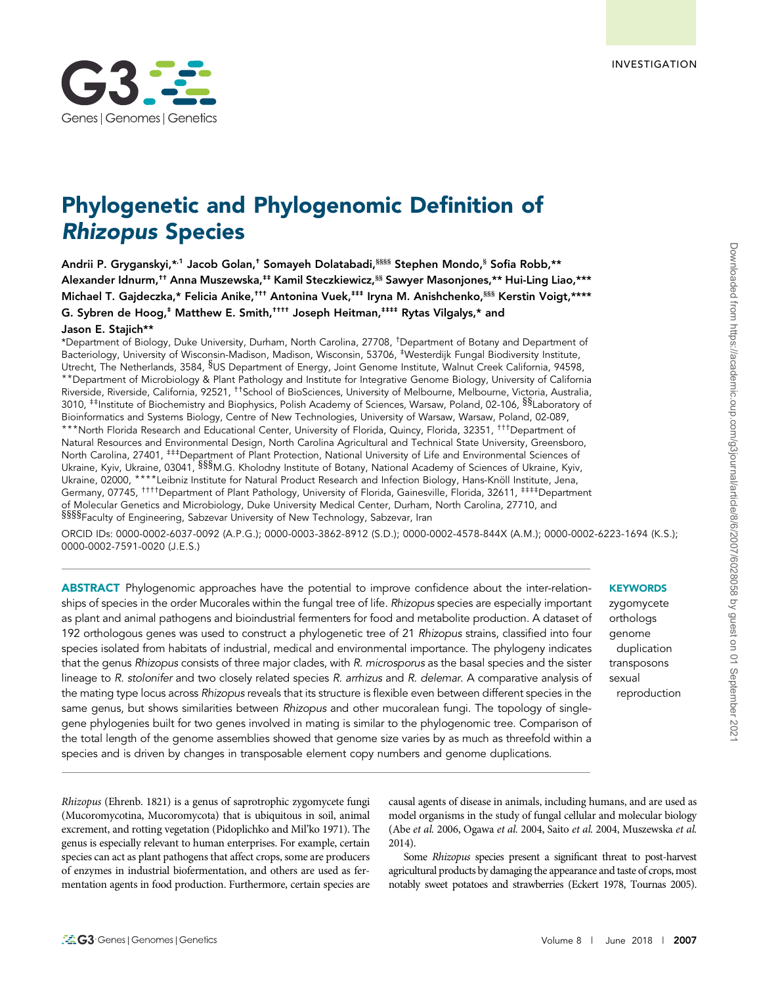

# Phylogenetic and Phylogenomic Definition of Rhizopus Species

Andrii P. Gryganskyi,\*,1 Jacob Golan,<sup>†</sup> Somayeh Dolatabadi,<sup>§§§§</sup> Stephen Mondo,<sup>§</sup> Sofia Robb, \*\* Alexander Idnurm,†† Anna Muszewska,‡‡ Kamil Steczkiewicz,§§ Sawyer Masonjones,\*\* Hui-Ling Liao,\*\*\* Michael T. Gajdeczka,\* Felicia Anike,<sup>†††</sup> Antonina Vuek,<sup>‡‡‡</sup> Iryna M. Anishchenko,<sup>§§§</sup> Kerstin Voigt,\*\*\*\* G. Sybren de Hoog,<sup>‡</sup> Matthew E. Smith,<sup>††††</sup> Joseph Heitman,<sup>‡‡‡‡</sup> Rytas Vilgalys,\* and Jason E. Staiich\*\*

\*Department of Biology, Duke University, Durham, North Carolina, 27708, †Department of Botany and Department of Bacteriology, University of Wisconsin-Madison, Madison, Wisconsin, 53706, ‡Westerdijk Fungal Biodiversity Institute, Utrecht, The Netherlands, 3584, §US Department of Energy, Joint Genome Institute, Walnut Creek California, 94598, \*\*Department of Microbiology & Plant Pathology and Institute for Integrative Genome Biology, University of California Riverside, Riverside, California, 92521, ††School of BioSciences, University of Melbourne, Melbourne, Victoria, Australia, 3010, <sup>‡‡</sup>Institute of Biochemistry and Biophysics, Polish Academy of Sciences, Warsaw, Poland, 02-106, <sup>§§</sup>Laboratory of Bioinformatics and Systems Biology, Centre of New Technologies, University of Warsaw, Warsaw, Poland, 02-089, \*\*\*North Florida Research and Educational Center, University of Florida, Quincy, Florida, 32351, †††Department of Natural Resources and Environmental Design, North Carolina Agricultural and Technical State University, Greensboro, North Carolina, 27401, ##Department of Plant Protection, National University of Life and Environmental Sciences of Ukraine, Kyiv, Ukraine, 03041, §§§M.G. Kholodny Institute of Botany, National Academy of Sciences of Ukraine, Kyiv, Ukraine, 02000, \*\*\*\*Leibniz Institute for Natural Product Research and Infection Biology, Hans-Knöll Institute, Jena, Germany, 07745, <sup>††††</sup>Department of Plant Pathology, University of Florida, Gainesville, Florida, 32611, <sup>‡‡‡‡</sup>Department of Molecular Genetics and Microbiology, Duke University Medical Center, Durham, North Carolina, 27710, and §§§§Faculty of Engineering, Sabzevar University of New Technology, Sabzevar, Iran

ORCID IDs: [0000-0002-6037-0092](http://orcid.org/0000-0002-6037-0092) (A.P.G.); [0000-0003-3862-8912](http://orcid.org/0000-0003-3862-8912) (S.D.); [0000-0002-4578-844X](http://orcid.org/0000-0002-4578-844X) (A.M.); [0000-0002-6223-1694](http://orcid.org/0000-0002-6223-1694) (K.S.); [0000-0002-7591-0020](http://orcid.org/0000-0002-7591-0020) (J.E.S.)

ABSTRACT Phylogenomic approaches have the potential to improve confidence about the inter-relationships of species in the order Mucorales within the fungal tree of life. Rhizopus species are especially important as plant and animal pathogens and bioindustrial fermenters for food and metabolite production. A dataset of 192 orthologous genes was used to construct a phylogenetic tree of 21 Rhizopus strains, classified into four species isolated from habitats of industrial, medical and environmental importance. The phylogeny indicates that the genus Rhizopus consists of three major clades, with R. microsporus as the basal species and the sister lineage to R. stolonifer and two closely related species R. arrhizus and R. delemar. A comparative analysis of the mating type locus across Rhizopus reveals that its structure is flexible even between different species in the same genus, but shows similarities between Rhizopus and other mucoralean fungi. The topology of singlegene phylogenies built for two genes involved in mating is similar to the phylogenomic tree. Comparison of the total length of the genome assemblies showed that genome size varies by as much as threefold within a species and is driven by changes in transposable element copy numbers and genome duplications.

**KEYWORDS** zygomycete

orthologs genome duplication transposons sexual reproduction

Rhizopus (Ehrenb. 1821) is a genus of saprotrophic zygomycete fungi (Mucoromycotina, Mucoromycota) that is ubiquitous in soil, animal excrement, and rotting vegetation (Pidoplichko and Mil'ko 1971). The genus is especially relevant to human enterprises. For example, certain species can act as plant pathogens that affect crops, some are producers of enzymes in industrial biofermentation, and others are used as fermentation agents in food production. Furthermore, certain species are causal agents of disease in animals, including humans, and are used as model organisms in the study of fungal cellular and molecular biology (Abe et al. 2006, Ogawa et al. 2004, Saito et al. 2004, Muszewska et al. 2014).

Some Rhizopus species present a significant threat to post-harvest agricultural products by damaging the appearance and taste of crops, most notably sweet potatoes and strawberries (Eckert 1978, Tournas 2005).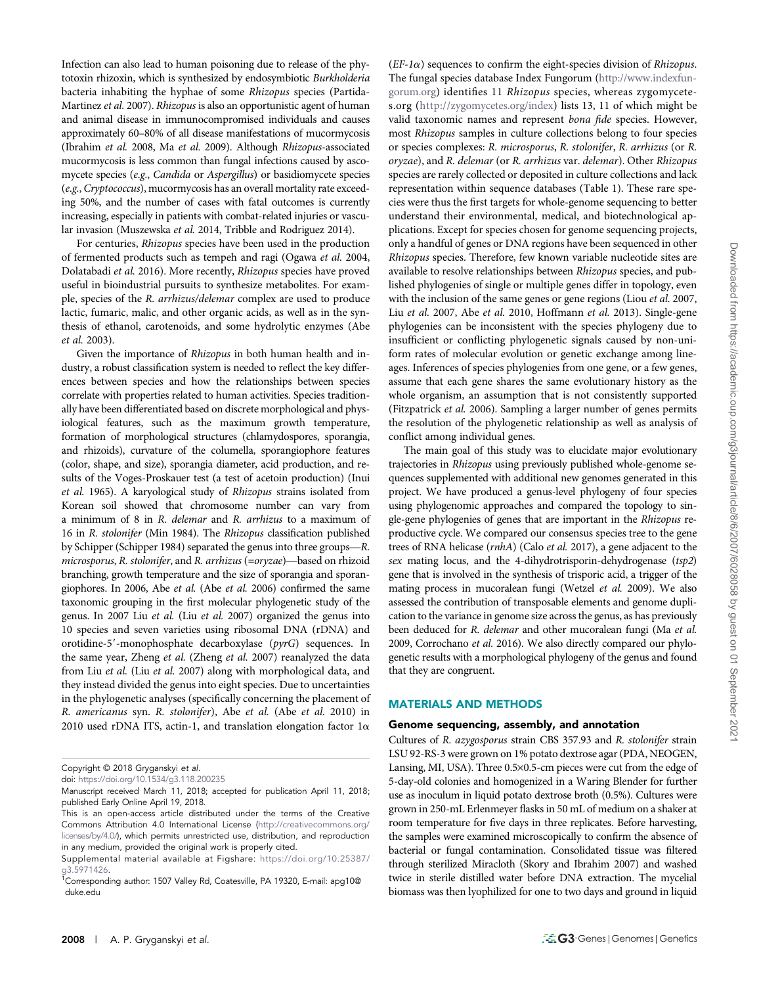Infection can also lead to human poisoning due to release of the phytotoxin rhizoxin, which is synthesized by endosymbiotic Burkholderia bacteria inhabiting the hyphae of some Rhizopus species (Partida-Martinez et al. 2007). Rhizopus is also an opportunistic agent of human and animal disease in immunocompromised individuals and causes approximately 60–80% of all disease manifestations of mucormycosis (Ibrahim et al. 2008, Ma et al. 2009). Although Rhizopus-associated mucormycosis is less common than fungal infections caused by ascomycete species (e.g., Candida or Aspergillus) or basidiomycete species (e.g., Cryptococcus), mucormycosis has an overall mortality rate exceeding 50%, and the number of cases with fatal outcomes is currently increasing, especially in patients with combat-related injuries or vascular invasion (Muszewska et al. 2014, Tribble and Rodriguez 2014).

For centuries, Rhizopus species have been used in the production of fermented products such as tempeh and ragi (Ogawa et al. 2004, Dolatabadi et al. 2016). More recently, Rhizopus species have proved useful in bioindustrial pursuits to synthesize metabolites. For example, species of the R. arrhizus/delemar complex are used to produce lactic, fumaric, malic, and other organic acids, as well as in the synthesis of ethanol, carotenoids, and some hydrolytic enzymes (Abe et al. 2003).

Given the importance of Rhizopus in both human health and industry, a robust classification system is needed to reflect the key differences between species and how the relationships between species correlate with properties related to human activities. Species traditionally have been differentiated based on discrete morphological and physiological features, such as the maximum growth temperature, formation of morphological structures (chlamydospores, sporangia, and rhizoids), curvature of the columella, sporangiophore features (color, shape, and size), sporangia diameter, acid production, and results of the Voges-Proskauer test (a test of acetoin production) (Inui et al. 1965). A karyological study of Rhizopus strains isolated from Korean soil showed that chromosome number can vary from a minimum of 8 in R. delemar and R. arrhizus to a maximum of 16 in R. stolonifer (Min 1984). The Rhizopus classification published by Schipper (Schipper 1984) separated the genus into three groups—R. microsporus, R. stolonifer, and R. arrhizus (=oryzae)—based on rhizoid branching, growth temperature and the size of sporangia and sporangiophores. In 2006, Abe et al. (Abe et al. 2006) confirmed the same taxonomic grouping in the first molecular phylogenetic study of the genus. In 2007 Liu et al. (Liu et al. 2007) organized the genus into 10 species and seven varieties using ribosomal DNA (rDNA) and orotidine-5'-monophosphate decarboxylase (pyrG) sequences. In the same year, Zheng et al. (Zheng et al. 2007) reanalyzed the data from Liu et al. (Liu et al. 2007) along with morphological data, and they instead divided the genus into eight species. Due to uncertainties in the phylogenetic analyses (specifically concerning the placement of R. americanus syn. R. stolonifer), Abe et al. (Abe et al. 2010) in 2010 used rDNA ITS, actin-1, and translation elongation factor  $1\alpha$ 

 $(EF-I\alpha)$  sequences to confirm the eight-species division of *Rhizopus*. The fungal species database Index Fungorum [\(http://www.indexfun](http://www.indexfungorum.org)[gorum.org\)](http://www.indexfungorum.org) identifies 11 Rhizopus species, whereas zygomycetes.org ([http://zygomycetes.org/index\)](http://zygomycetes.org/index) lists 13, 11 of which might be valid taxonomic names and represent bona fide species. However, most Rhizopus samples in culture collections belong to four species or species complexes: R. microsporus, R. stolonifer, R. arrhizus (or R. oryzae), and R. delemar (or R. arrhizus var. delemar). Other Rhizopus species are rarely collected or deposited in culture collections and lack representation within sequence databases (Table 1). These rare species were thus the first targets for whole-genome sequencing to better understand their environmental, medical, and biotechnological applications. Except for species chosen for genome sequencing projects, only a handful of genes or DNA regions have been sequenced in other Rhizopus species. Therefore, few known variable nucleotide sites are available to resolve relationships between Rhizopus species, and published phylogenies of single or multiple genes differ in topology, even with the inclusion of the same genes or gene regions (Liou *et al.* 2007, Liu et al. 2007, Abe et al. 2010, Hoffmann et al. 2013). Single-gene phylogenies can be inconsistent with the species phylogeny due to insufficient or conflicting phylogenetic signals caused by non-uniform rates of molecular evolution or genetic exchange among lineages. Inferences of species phylogenies from one gene, or a few genes, assume that each gene shares the same evolutionary history as the whole organism, an assumption that is not consistently supported (Fitzpatrick et al. 2006). Sampling a larger number of genes permits the resolution of the phylogenetic relationship as well as analysis of conflict among individual genes.

The main goal of this study was to elucidate major evolutionary trajectories in Rhizopus using previously published whole-genome sequences supplemented with additional new genomes generated in this project. We have produced a genus-level phylogeny of four species using phylogenomic approaches and compared the topology to single-gene phylogenies of genes that are important in the Rhizopus reproductive cycle. We compared our consensus species tree to the gene trees of RNA helicase (rnhA) (Calo et al. 2017), a gene adjacent to the sex mating locus, and the 4-dihydrotrisporin-dehydrogenase (tsp2) gene that is involved in the synthesis of trisporic acid, a trigger of the mating process in mucoralean fungi (Wetzel et al. 2009). We also assessed the contribution of transposable elements and genome duplication to the variance in genome size across the genus, as has previously been deduced for R. delemar and other mucoralean fungi (Ma et al. 2009, Corrochano et al. 2016). We also directly compared our phylogenetic results with a morphological phylogeny of the genus and found that they are congruent.

# MATERIALS AND METHODS

#### Genome sequencing, assembly, and annotation

Cultures of R. azygosporus strain CBS 357.93 and R. stolonifer strain LSU 92-RS-3 were grown on 1% potato dextrose agar (PDA, NEOGEN, Lansing, MI, USA). Three 0.5×0.5-cm pieces were cut from the edge of 5-day-old colonies and homogenized in a Waring Blender for further use as inoculum in liquid potato dextrose broth (0.5%). Cultures were grown in 250-mL Erlenmeyer flasks in 50 mL of medium on a shaker at room temperature for five days in three replicates. Before harvesting, the samples were examined microscopically to confirm the absence of bacterial or fungal contamination. Consolidated tissue was filtered through sterilized Miracloth (Skory and Ibrahim 2007) and washed twice in sterile distilled water before DNA extraction. The mycelial biomass was then lyophilized for one to two days and ground in liquid

Copyright © 2018 Gryganskyi et al.

doi: <https://doi.org/10.1534/g3.118.200235>

Manuscript received March 11, 2018; accepted for publication April 11, 2018; published Early Online April 19, 2018.

This is an open-access article distributed under the terms of the Creative Commons Attribution 4.0 International License [\(http://creativecommons.org/](http://creativecommons.org/licenses/by/4.0/) [licenses/by/4.0/](http://creativecommons.org/licenses/by/4.0/)), which permits unrestricted use, distribution, and reproduction in any medium, provided the original work is properly cited.

Supplemental material available at Figshare: [https://doi.org/10.25387/](https://doi.org/10.25387/g3.5971426) [g3.5971426.](https://doi.org/10.25387/g3.5971426)

<sup>&</sup>lt;sup>1</sup>Corresponding author: 1507 Valley Rd, Coatesville, PA 19320, E-mail: [apg10@](mailto:apg10@duke.edu) [duke.edu](mailto:apg10@duke.edu)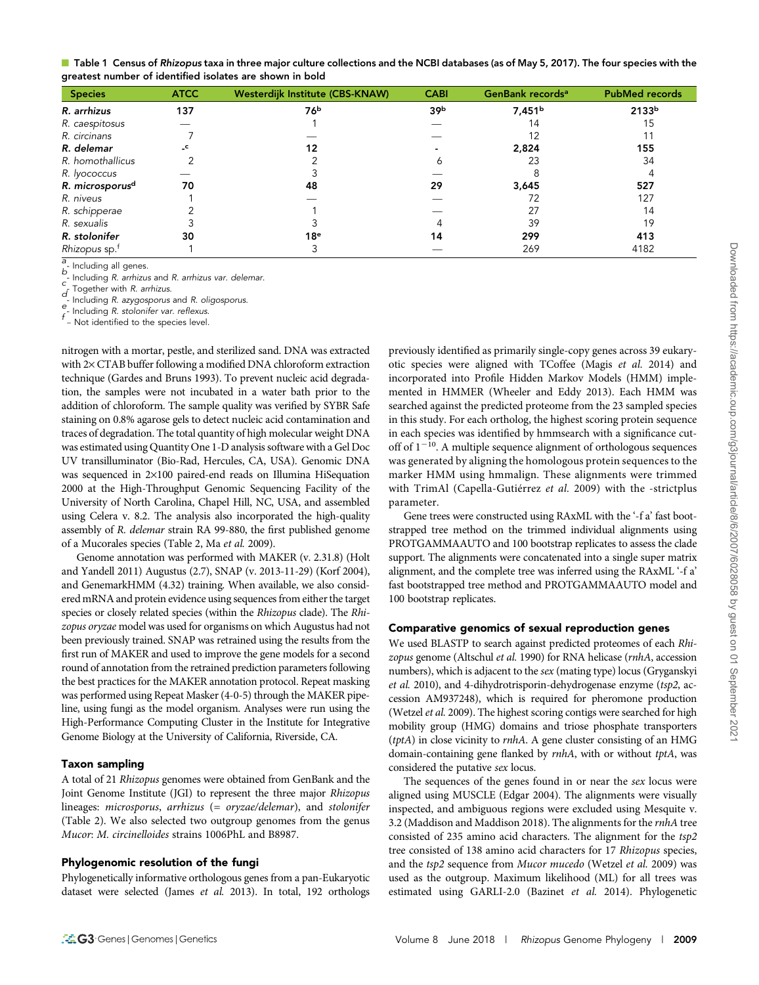| Table 1 Census of Rhizopus taxa in three major culture collections and the NCBI databases (as of May 5, 2017). The four species with the |  |
|------------------------------------------------------------------------------------------------------------------------------------------|--|
| greatest number of identified isolates are shown in bold                                                                                 |  |

| <b>Species</b>              | <b>ATCC</b>  | Westerdijk Institute (CBS-KNAW) | <b>CABI</b>     | GenBank records <sup>a</sup> | <b>PubMed records</b> |
|-----------------------------|--------------|---------------------------------|-----------------|------------------------------|-----------------------|
| R. arrhizus                 | 137          | 76b                             | 39 <sub>b</sub> | 7,451 <sup>b</sup>           | 2133 <sup>b</sup>     |
| R. caespitosus              |              |                                 |                 | 14                           | 15                    |
| R. circinans                |              |                                 |                 |                              |                       |
| R. delemar                  | $\mathsf{C}$ | 12                              |                 | 2,824                        | 155                   |
| R. homothallicus            |              |                                 | n               | 23                           | 34                    |
| R. lyococcus                |              |                                 |                 |                              |                       |
| R. microsporus <sup>d</sup> | 70           | 48                              | 29              | 3,645                        | 527                   |
| R. niveus                   |              |                                 |                 | 72                           | 127                   |
| R. schipperae               |              |                                 |                 | 27                           | 14                    |
| R. sexualis                 |              |                                 |                 | 39                           | 19                    |
| R. stolonifer               | 30           | 18 <sup>e</sup>                 | 14              | 299                          | 413                   |
| Rhizopus sp. <sup>†</sup>   |              |                                 |                 | 269                          | 4182                  |

a  $\frac{a}{b}$ - Including all genes.

 $\frac{B}{C}$ - Including R. arrhizus and R. arrhizus var. delemar.

 $\overline{d}$ . Together with R. arrhizus.

Including R. azygosporus and R. oligosporus.

- Including R. stolonifer var. reflexus.

– Not identified to the species level.

nitrogen with a mortar, pestle, and sterilized sand. DNA was extracted with  $2\times$  CTAB buffer following a modified DNA chloroform extraction technique (Gardes and Bruns 1993). To prevent nucleic acid degradation, the samples were not incubated in a water bath prior to the addition of chloroform. The sample quality was verified by SYBR Safe staining on 0.8% agarose gels to detect nucleic acid contamination and traces of degradation. The total quantity of high molecular weight DNA was estimated using Quantity One 1-D analysis software with a Gel Doc UV transilluminator (Bio-Rad, Hercules, CA, USA). Genomic DNA was sequenced in  $2\times100$  paired-end reads on Illumina HiSequation 2000 at the High-Throughput Genomic Sequencing Facility of the University of North Carolina, Chapel Hill, NC, USA, and assembled using Celera v. 8.2. The analysis also incorporated the high-quality assembly of R. delemar strain RA 99-880, the first published genome of a Mucorales species (Table 2, Ma et al. 2009).

Genome annotation was performed with MAKER (v. 2.31.8) (Holt and Yandell 2011) Augustus (2.7), SNAP (v. 2013-11-29) (Korf 2004), and GenemarkHMM (4.32) training. When available, we also considered mRNA and protein evidence using sequences from either the target species or closely related species (within the Rhizopus clade). The Rhizopus oryzae model was used for organisms on which Augustus had not been previously trained. SNAP was retrained using the results from the first run of MAKER and used to improve the gene models for a second round of annotation from the retrained prediction parameters following the best practices for the MAKER annotation protocol. Repeat masking was performed using Repeat Masker (4-0-5) through the MAKER pipeline, using fungi as the model organism. Analyses were run using the High-Performance Computing Cluster in the Institute for Integrative Genome Biology at the University of California, Riverside, CA.

## Taxon sampling

A total of 21 Rhizopus genomes were obtained from GenBank and the Joint Genome Institute (JGI) to represent the three major Rhizopus lineages: microsporus, arrhizus (= oryzae/delemar), and stolonifer (Table 2). We also selected two outgroup genomes from the genus Mucor: M. circinelloides strains 1006PhL and B8987.

### Phylogenomic resolution of the fungi

Phylogenetically informative orthologous genes from a pan-Eukaryotic dataset were selected (James et al. 2013). In total, 192 orthologs previously identified as primarily single-copy genes across 39 eukaryotic species were aligned with TCoffee (Magis et al. 2014) and incorporated into Profile Hidden Markov Models (HMM) implemented in HMMER (Wheeler and Eddy 2013). Each HMM was searched against the predicted proteome from the 23 sampled species in this study. For each ortholog, the highest scoring protein sequence in each species was identified by hmmsearch with a significance cutoff of  $1^{-10}$ . A multiple sequence alignment of orthologous sequences was generated by aligning the homologous protein sequences to the marker HMM using hmmalign. These alignments were trimmed with TrimAl (Capella-Gutiérrez et al. 2009) with the -strictplus parameter.

Gene trees were constructed using RAxML with the '-f a' fast bootstrapped tree method on the trimmed individual alignments using PROTGAMMAAUTO and 100 bootstrap replicates to assess the clade support. The alignments were concatenated into a single super matrix alignment, and the complete tree was inferred using the RAxML '-f a' fast bootstrapped tree method and PROTGAMMAAUTO model and 100 bootstrap replicates.

# Comparative genomics of sexual reproduction genes

We used BLASTP to search against predicted proteomes of each Rhizopus genome (Altschul et al. 1990) for RNA helicase (rnhA, accession numbers), which is adjacent to the sex (mating type) locus (Gryganskyi et al. 2010), and 4-dihydrotrisporin-dehydrogenase enzyme (tsp2, accession AM937248), which is required for pheromone production (Wetzel et al. 2009). The highest scoring contigs were searched for high mobility group (HMG) domains and triose phosphate transporters  $(tptA)$  in close vicinity to *rnhA*. A gene cluster consisting of an HMG domain-containing gene flanked by rnhA, with or without tptA, was considered the putative sex locus.

The sequences of the genes found in or near the sex locus were aligned using MUSCLE (Edgar 2004). The alignments were visually inspected, and ambiguous regions were excluded using Mesquite v. 3.2 (Maddison and Maddison 2018). The alignments for the rnhA tree consisted of 235 amino acid characters. The alignment for the tsp2 tree consisted of 138 amino acid characters for 17 Rhizopus species, and the tsp2 sequence from Mucor mucedo (Wetzel et al. 2009) was used as the outgroup. Maximum likelihood (ML) for all trees was estimated using GARLI-2.0 (Bazinet et al. 2014). Phylogenetic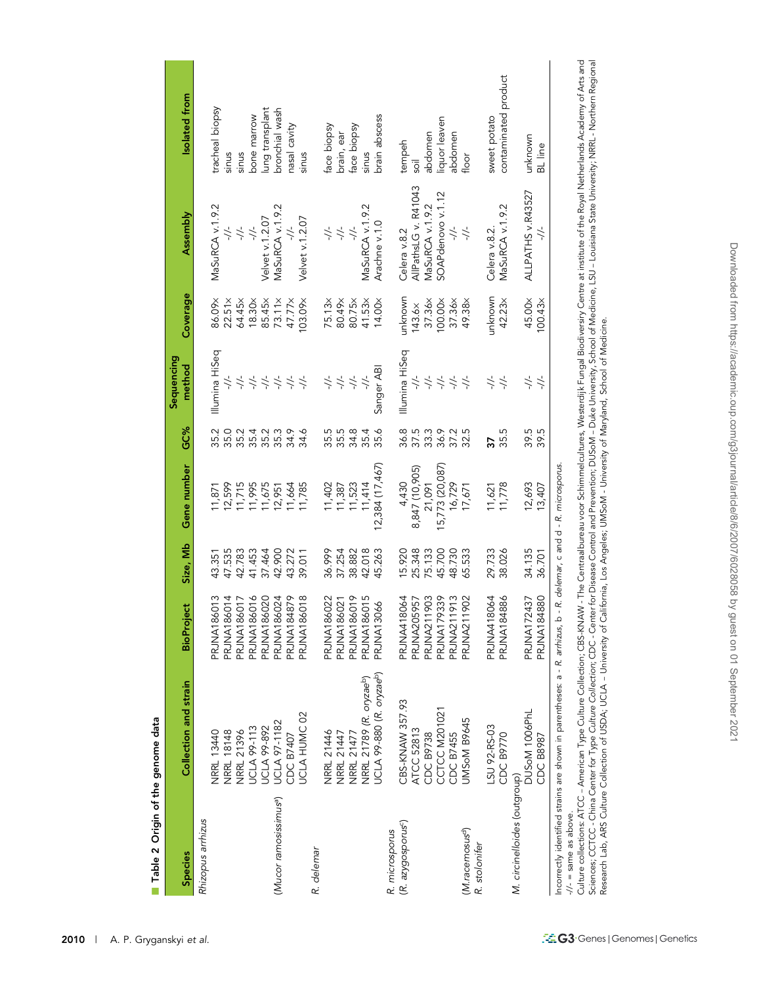|                                    |                                                                           |                    |                                      |                                           |                                   | Sequencing                                                                        |                    |                          |                      |
|------------------------------------|---------------------------------------------------------------------------|--------------------|--------------------------------------|-------------------------------------------|-----------------------------------|-----------------------------------------------------------------------------------|--------------------|--------------------------|----------------------|
| <b>Species</b>                     | Collection and strain                                                     | <b>BioProject</b>  | Size, Mb                             | Gene number                               | GC%                               | method                                                                            | Coverage           | Assembly                 | Isolated from        |
| Rhizopus arrhizus                  |                                                                           |                    |                                      |                                           |                                   |                                                                                   |                    |                          |                      |
|                                    | NRRL 13440                                                                | 86013<br>PRJNA1    | 43.351                               | 11,871                                    | 35.2                              | Illumina HiSeq                                                                    | 86.09x             | MaSuRCA v.1.9.2          | tracheal biopsy      |
|                                    | <b>NRRL 18148</b>                                                         | 86014<br>PRJNA1    | 47.535                               | 12,599                                    |                                   | $\div$                                                                            | $22.51 \times$     | $\div$                   | sinus                |
|                                    | NRRL 21396                                                                | 86017<br>PRJNA1    | 42.783                               | 11,715                                    | ひとれてうけん<br>ことにことれ<br>ことはこう        | $\rightarrow$                                                                     | 64.45×             | $-\frac{1}{2}$           | sinus                |
|                                    | <b>UCLA 99-113</b>                                                        | 86016<br>PRJNA1    | 41.453                               | 11,995                                    |                                   | $\rightarrow$                                                                     | 18.30 <sub>×</sub> | $-1/-$                   | bone marrow          |
|                                    | <b>UCLA 99-892</b>                                                        | 86020<br>PRJNA1    | 37.464                               | 11,675                                    |                                   |                                                                                   | 85.45×             | Velvet v.1.2.07          | ung transplant       |
| (Mucor ramosissimus <sup>a</sup> ) | <b>UCLA 97-1182</b>                                                       | 86024<br>PRJNA1    | 42.900                               | 12,951                                    |                                   |                                                                                   | $73.11\times$      | MaSuRCA v.1.9.2          | bronchial wash       |
|                                    | CDC B7407                                                                 | 84879<br>PRJNA1    | 43.272<br>39.011                     | 11,664                                    |                                   | $\Rightarrow \Rightarrow \Rightarrow$                                             | 47.77×             |                          | nasal cavity         |
|                                    | UCLA HUMC 02                                                              | 86018<br>PRJNA1    |                                      | 11,785                                    |                                   | $\frac{1}{2}$                                                                     | 03.09x             | Velvet v.1.2.07          | sinus                |
| R. delemar                         |                                                                           |                    |                                      |                                           |                                   |                                                                                   |                    |                          |                      |
|                                    | NRRL 21446                                                                | 86022<br>PRJNA1    |                                      | 11,402                                    |                                   | $\frac{1}{2}$                                                                     | 75.13×             | $\frac{1}{\sqrt{2}}$     | face biopsy          |
|                                    | NRRL 21447                                                                | 86021<br>PRJNA1    | 36.999<br>37.254                     | 11,387                                    |                                   | $\frac{1}{2}$                                                                     | 80.49×             | $-\frac{1}{2}$           | brain, ear           |
|                                    | NRRL 21477                                                                | 86019<br>PRJNA1    | 38.882                               | 11,523                                    |                                   | $\frac{1}{\sqrt{2}}$                                                              | 80.75×             |                          | face biopsy          |
|                                    | NRRL 21789 (R. oryzaeb)                                                   | 86015<br>PRJNA1    | 42.018                               | 11,414                                    | 5<br>5 5 4 5 5 5<br>5 5 6 7 6     | $\frac{1}{2}$                                                                     | 41.53x             | MaSuRCA v.1.9.2          | sinus                |
|                                    | UCLA 99-880 (R. oryzae <sup>b</sup> )                                     | 3066<br>PRJNA1     | 45.263                               | 12,384 (17,467)                           |                                   | Sanger ABI                                                                        | 14.00×             | Arachne v.1.0            | brain abscess        |
| R. microsporus                     |                                                                           |                    |                                      |                                           |                                   |                                                                                   |                    |                          |                      |
| (R. azygosporus <sup>c</sup> )     | CBS-KNAW 357.93                                                           | PRJNA418064        |                                      | 4,430                                     |                                   | Illumina HiSeq                                                                    | unknown            | Celera v.8.2             | tempeh               |
|                                    | ATCC 52813                                                                | PRJNA205957        |                                      | 8,847 (10,905)                            |                                   | $\div$                                                                            | 143.6x             | AllPathsLG v. R41043     | iios                 |
|                                    | CDC B9738                                                                 | PRJNA211903        | 15.920<br>25.348<br>75.133<br>45.700 | 21,091                                    | 8<br>8 7 8 9 9 7 9<br>8 9 8 9 9 9 | $\frac{1}{2}$                                                                     | 37.36x             | MaSuRCA v.1.9.2          | abdomen              |
|                                    | CCTCC M201021                                                             | <b>PRJNA179339</b> |                                      | 15,773 (20,087)                           |                                   |                                                                                   | 100.00x            | SOAPdenovo v.1.12        | liquor leaven        |
|                                    | CDC B7455                                                                 | PRJNA211913        | 48.730                               | 16,729                                    |                                   | $\begin{array}{c} \star \star \star \star \\ \star \star \star \star \end{array}$ | 37.36x             | $\overline{\phantom{a}}$ | abdomen              |
| (M.racemosus <sup>d</sup> )        | JMSoM B9645                                                               | PRJNA211902        | 65.533                               | 17,671                                    |                                   |                                                                                   | 49.38×             | $\frac{1}{2}$            | floor                |
| R. stolonifer                      |                                                                           |                    |                                      |                                           |                                   |                                                                                   |                    |                          |                      |
|                                    | LSU 92-RS-03                                                              | PRJNA418064        | 29.733                               | 11,621                                    | 57                                | $\frac{1}{2}$                                                                     | unknown            | Celera v.8.2.            | sweet potato         |
|                                    | CDC B9770                                                                 | 84886<br>PRJNA1    | 38.026                               | 11,778                                    | 35.5                              | $\overline{\phantom{a}}$                                                          | 42.23x             | MaSuRCA v.1.9.2          | contaminated product |
| M. circinelloides (outgroup)       |                                                                           |                    |                                      |                                           |                                   |                                                                                   |                    |                          |                      |
|                                    | DUSOM 1006PhL                                                             | PRJNA172437        | 34.135                               | 12,693                                    | 39.5                              | $\frac{1}{\sqrt{2}}$                                                              | 45.00x             | ALLPATHS v.R43527        | unknown              |
|                                    | <b>CDC B8987</b>                                                          | 84880<br>PRJNA1    | 36.701                               | 13,407                                    | 39.5                              | $\frac{1}{2}$                                                                     | I00.43×            |                          | BL line              |
| $-1/1 =$ same as above.            | Incorrectly identified strains are shown in parentheses: a - R. arrhizus, |                    |                                      | b - R. delemar, c and d - R. microsporus. |                                   |                                                                                   |                    |                          |                      |

Culture collections: ATCC – American Type Culture Collection; CBS-KNAW - The Centraalbureau voor Schimmelcultures, Westerdijk Fungal Biodiversiry Centre at institute of the Royal Netherlands Academy of Arts and<br>Sciences; C Culture collections: ATCC – American Type Culture Collection; CBS-KNAW - The Centraalbureau voor Schimmelcultures, Westerdijk Fungal Biodiversiry Centre at institute of the Royal Netherlands Academy of Arts and Sciences; CCTCC - China Center for Type Culture Collection; CDC - Center for Disease Control and Prevention; DUSoM – Duke University, School of Medicine, LSU – LSU – Louisiana State University; Northern Regional Research Lab, ARS Culture Collection of USDA; UCLA – University of California, Los Angeles; UMSoM - University of Maryland, School of Medicine.

Table 2 Origin of the genome data Table 2 Origin of the genome data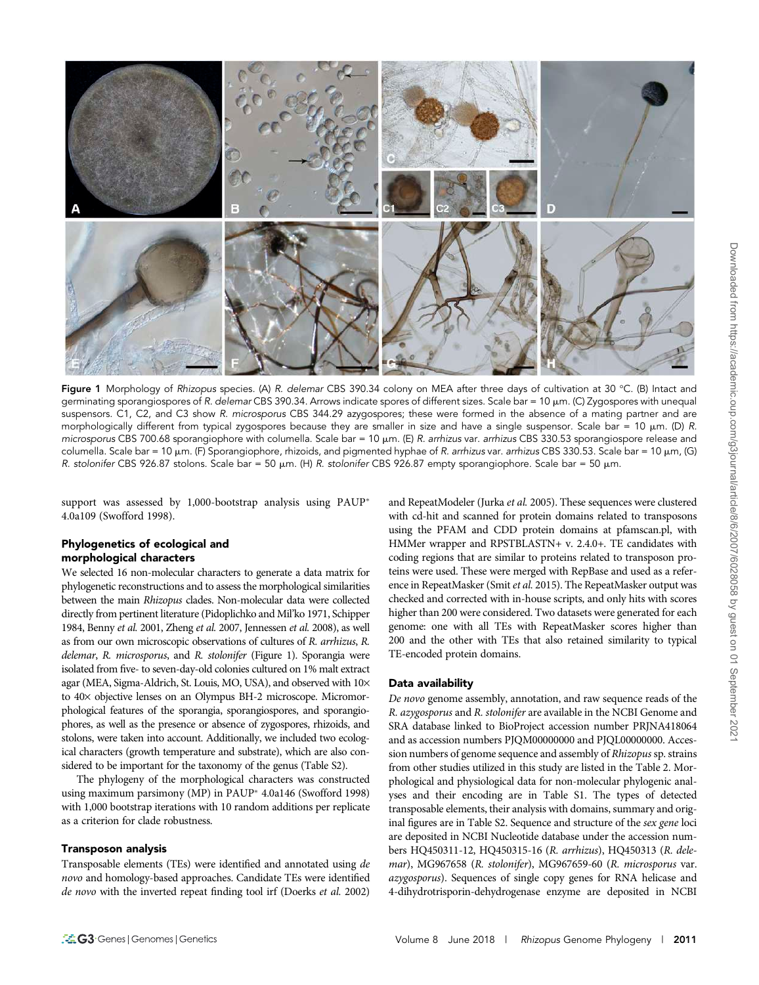

**Figure 1** Morphology of *Rhizopus s*pecies. (A) *R. delemar* CBS 390.34 colony on MEA after three days of cultivation at 30 °C. (B) Intact and germinating sporangiospores of R. delemar CBS 390.34. Arrows indicate spores of different sizes. Scale bar = 10 µm. (C) Zygospores with unequal suspensors. C1, C2, and C3 show R. microsporus CBS 344.29 azygospores; these were formed in the absence of a mating partner and are morphologically different from typical zygospores because they are smaller in size and have a single suspensor. Scale bar = 10  $\mu$ m. (D) R. microsporus CBS 700.68 sporangiophore with columella. Scale bar = 10 µm. (E) R. arrhizus var. arrhizus CBS 330.53 sporangiospore release and columella. Scale bar = 10  $\mu$ m. (F) Sporangiophore, rhizoids, and pigmented hyphae of R. arrhizus var. arrhizus CBS 330.53. Scale bar = 10  $\mu$ m, (G) R. stolonifer CBS 926.87 stolons. Scale bar = 50  $\mu$ m. (H) R. stolonifer CBS 926.87 empty sporangiophore. Scale bar = 50  $\mu$ m.

support was assessed by 1,000-bootstrap analysis using PAUP\* 4.0a109 (Swofford 1998).

# Phylogenetics of ecological and morphological characters

We selected 16 non-molecular characters to generate a data matrix for phylogenetic reconstructions and to assess the morphological similarities between the main Rhizopus clades. Non-molecular data were collected directly from pertinent literature (Pidoplichko and Mil'ko 1971, Schipper 1984, Benny et al. 2001, Zheng et al. 2007, Jennessen et al. 2008), as well as from our own microscopic observations of cultures of R. arrhizus, R. delemar, R. microsporus, and R. stolonifer (Figure 1). Sporangia were isolated from five- to seven-day-old colonies cultured on 1% malt extract agar (MEA, Sigma-Aldrich, St. Louis, MO, USA), and observed with  $10\times$ to 40× objective lenses on an Olympus BH-2 microscope. Micromorphological features of the sporangia, sporangiospores, and sporangiophores, as well as the presence or absence of zygospores, rhizoids, and stolons, were taken into account. Additionally, we included two ecological characters (growth temperature and substrate), which are also considered to be important for the taxonomy of the genus (Table S2).

The phylogeny of the morphological characters was constructed using maximum parsimony (MP) in PAUP<sup>\*</sup> 4.0a146 (Swofford 1998) with 1,000 bootstrap iterations with 10 random additions per replicate as a criterion for clade robustness.

#### Transposon analysis

Transposable elements (TEs) were identified and annotated using de novo and homology-based approaches. Candidate TEs were identified de novo with the inverted repeat finding tool irf (Doerks et al. 2002)

and RepeatModeler (Jurka et al. 2005). These sequences were clustered with cd-hit and scanned for protein domains related to transposons using the PFAM and CDD protein domains at pfamscan.pl, with HMMer wrapper and RPSTBLASTN+ v. 2.4.0+. TE candidates with coding regions that are similar to proteins related to transposon proteins were used. These were merged with RepBase and used as a reference in RepeatMasker (Smit et al. 2015). The RepeatMasker output was checked and corrected with in-house scripts, and only hits with scores higher than 200 were considered. Two datasets were generated for each genome: one with all TEs with RepeatMasker scores higher than 200 and the other with TEs that also retained similarity to typical TE-encoded protein domains.

# Data availability

De novo genome assembly, annotation, and raw sequence reads of the R. azygosporus and R. stolonifer are available in the NCBI Genome and SRA database linked to BioProject accession number PRJNA418064 and as accession numbers PJQM00000000 and PJQL00000000. Accession numbers of genome sequence and assembly of Rhizopus sp. strains from other studies utilized in this study are listed in the Table 2. Morphological and physiological data for non-molecular phylogenic analyses and their encoding are in Table S1. The types of detected transposable elements, their analysis with domains, summary and original figures are in Table S2. Sequence and structure of the sex gene loci are deposited in NCBI Nucleotide database under the accession numbers HQ450311-12, HQ450315-16 (R. arrhizus), HQ450313 (R. delemar), MG967658 (R. stolonifer), MG967659-60 (R. microsporus var. azygosporus). Sequences of single copy genes for RNA helicase and 4-dihydrotrisporin-dehydrogenase enzyme are deposited in NCBI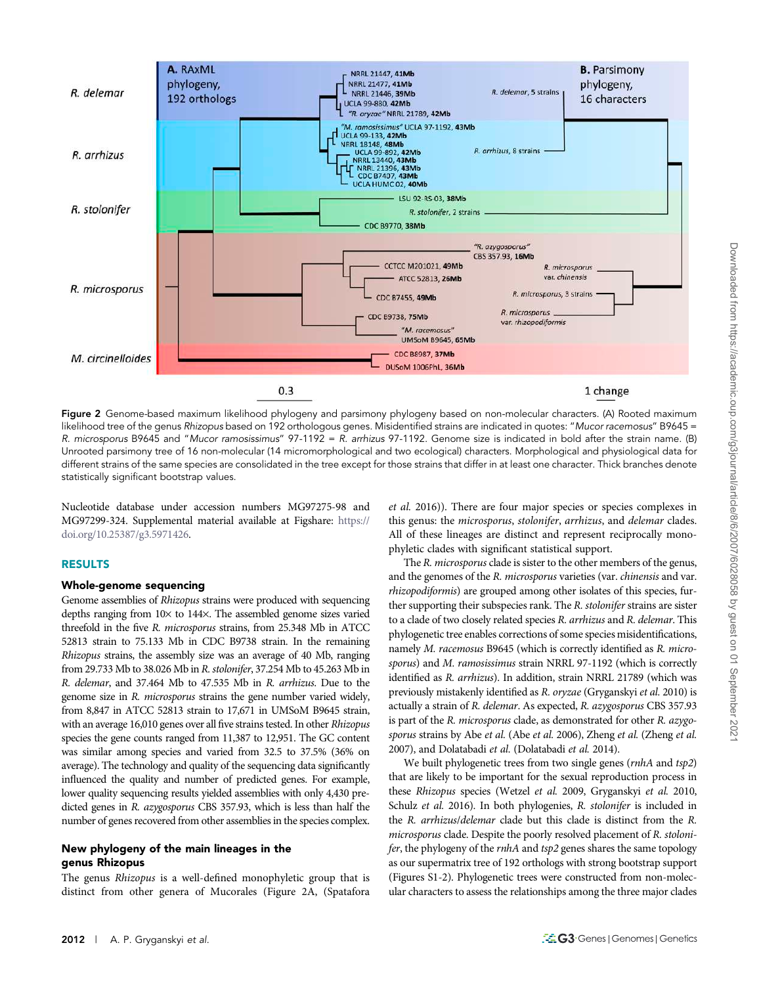

Figure 2 Genome-based maximum likelihood phylogeny and parsimony phylogeny based on non-molecular characters. (A) Rooted maximum likelihood tree of the genus Rhizopus based on 192 orthologous genes. Misidentified strains are indicated in quotes: "Mucor racemosus" B9645 = R. microsporus B9645 and "Mucor ramosissimus" 97-1192 = R. arrhizus 97-1192. Genome size is indicated in bold after the strain name. (B) Unrooted parsimony tree of 16 non-molecular (14 micromorphological and two ecological) characters. Morphological and physiological data for different strains of the same species are consolidated in the tree except for those strains that differ in at least one character. Thick branches denote statistically significant bootstrap values.

Nucleotide database under accession numbers MG97275-98 and MG97299-324. Supplemental material available at Figshare: [https://](https://doi.org/10.25387/g3.5971426) [doi.org/10.25387/g3.5971426.](https://doi.org/10.25387/g3.5971426)

# RESULTS

# Whole-genome sequencing

Genome assemblies of Rhizopus strains were produced with sequencing depths ranging from  $10\times$  to  $144\times$ . The assembled genome sizes varied threefold in the five R. microsporus strains, from 25.348 Mb in ATCC 52813 strain to 75.133 Mb in CDC B9738 strain. In the remaining Rhizopus strains, the assembly size was an average of 40 Mb, ranging from 29.733 Mb to 38.026 Mb in R. stolonifer, 37.254 Mb to 45.263 Mb in R. delemar, and 37.464 Mb to 47.535 Mb in R. arrhizus. Due to the genome size in R. microsporus strains the gene number varied widely, from 8,847 in ATCC 52813 strain to 17,671 in UMSoM B9645 strain, with an average 16,010 genes over all five strains tested. In other Rhizopus species the gene counts ranged from 11,387 to 12,951. The GC content was similar among species and varied from 32.5 to 37.5% (36% on average). The technology and quality of the sequencing data significantly influenced the quality and number of predicted genes. For example, lower quality sequencing results yielded assemblies with only 4,430 predicted genes in R. azygosporus CBS 357.93, which is less than half the number of genes recovered from other assemblies in the species complex.

# New phylogeny of the main lineages in the genus Rhizopus

The genus Rhizopus is a well-defined monophyletic group that is distinct from other genera of Mucorales (Figure 2A, (Spatafora

et al. 2016)). There are four major species or species complexes in this genus: the microsporus, stolonifer, arrhizus, and delemar clades. All of these lineages are distinct and represent reciprocally monophyletic clades with significant statistical support.

The R. microsporus clade is sister to the other members of the genus, and the genomes of the R. microsporus varieties (var. chinensis and var. rhizopodiformis) are grouped among other isolates of this species, further supporting their subspecies rank. The R. stolonifer strains are sister to a clade of two closely related species R. arrhizus and R. delemar. This phylogenetic tree enables corrections of some species misidentifications, namely M. racemosus B9645 (which is correctly identified as R. microsporus) and M. ramosissimus strain NRRL 97-1192 (which is correctly identified as R. arrhizus). In addition, strain NRRL 21789 (which was previously mistakenly identified as R. oryzae (Gryganskyi et al. 2010) is actually a strain of R. delemar. As expected, R. azygosporus CBS 357.93 is part of the R. microsporus clade, as demonstrated for other R. azygosporus strains by Abe et al. (Abe et al. 2006), Zheng et al. (Zheng et al. 2007), and Dolatabadi et al. (Dolatabadi et al. 2014).

We built phylogenetic trees from two single genes (rnhA and tsp2) that are likely to be important for the sexual reproduction process in these Rhizopus species (Wetzel et al. 2009, Gryganskyi et al. 2010, Schulz et al. 2016). In both phylogenies, R. stolonifer is included in the R. arrhizus/delemar clade but this clade is distinct from the R. microsporus clade. Despite the poorly resolved placement of R. stolonifer, the phylogeny of the *rnhA* and tsp2 genes shares the same topology as our supermatrix tree of 192 orthologs with strong bootstrap support (Figures S1-2). Phylogenetic trees were constructed from non-molecular characters to assess the relationships among the three major clades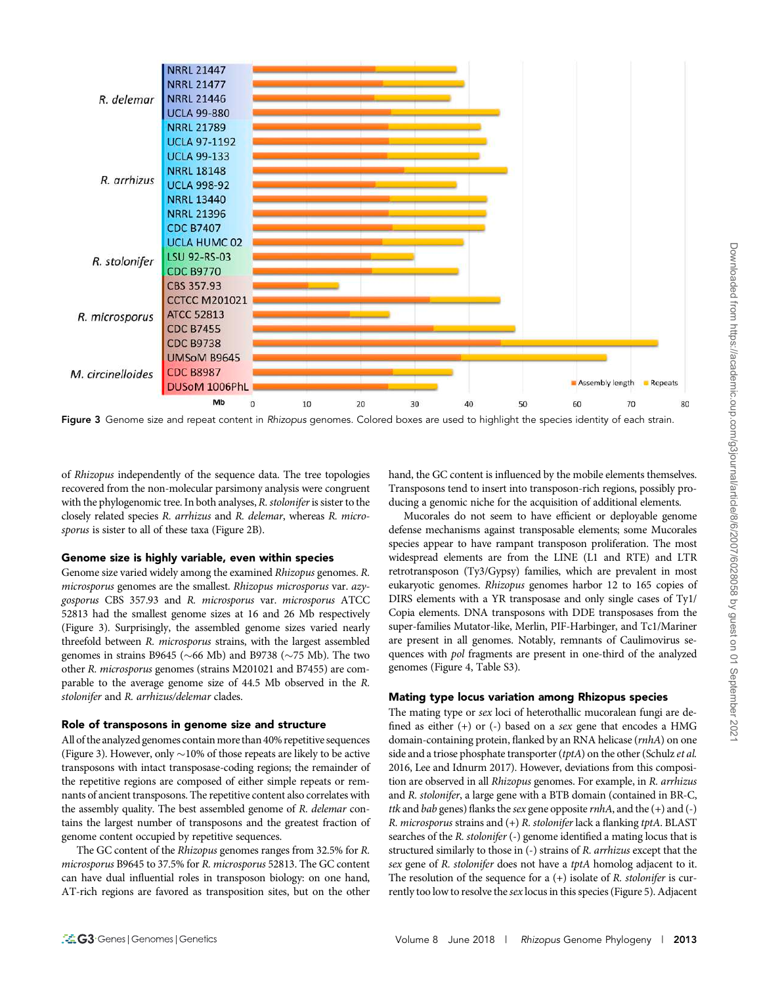

Figure 3 Genome size and repeat content in Rhizopus genomes. Colored boxes are used to highlight the species identity of each strain.

of Rhizopus independently of the sequence data. The tree topologies recovered from the non-molecular parsimony analysis were congruent with the phylogenomic tree. In both analyses, R. stolonifer is sister to the closely related species R. arrhizus and R. delemar, whereas R. microsporus is sister to all of these taxa (Figure 2B).

#### Genome size is highly variable, even within species

Genome size varied widely among the examined Rhizopus genomes. R. microsporus genomes are the smallest. Rhizopus microsporus var. azygosporus CBS 357.93 and R. microsporus var. microsporus ATCC 52813 had the smallest genome sizes at 16 and 26 Mb respectively (Figure 3). Surprisingly, the assembled genome sizes varied nearly threefold between R. microsporus strains, with the largest assembled genomes in strains B9645 ( $\sim$ 66 Mb) and B9738 ( $\sim$ 75 Mb). The two other R. microsporus genomes (strains M201021 and B7455) are comparable to the average genome size of 44.5 Mb observed in the R. stolonifer and R. arrhizus/delemar clades.

#### Role of transposons in genome size and structure

All of the analyzed genomes contain more than 40% repetitive sequences (Figure 3). However, only  $\sim$ 10% of those repeats are likely to be active transposons with intact transposase-coding regions; the remainder of the repetitive regions are composed of either simple repeats or remnants of ancient transposons. The repetitive content also correlates with the assembly quality. The best assembled genome of R. delemar contains the largest number of transposons and the greatest fraction of genome content occupied by repetitive sequences.

The GC content of the Rhizopus genomes ranges from 32.5% for R. microsporus B9645 to 37.5% for R. microsporus 52813. The GC content can have dual influential roles in transposon biology: on one hand, AT-rich regions are favored as transposition sites, but on the other

hand, the GC content is influenced by the mobile elements themselves. Transposons tend to insert into transposon-rich regions, possibly producing a genomic niche for the acquisition of additional elements.

Mucorales do not seem to have efficient or deployable genome defense mechanisms against transposable elements; some Mucorales species appear to have rampant transposon proliferation. The most widespread elements are from the LINE (L1 and RTE) and LTR retrotransposon (Ty3/Gypsy) families, which are prevalent in most eukaryotic genomes. Rhizopus genomes harbor 12 to 165 copies of DIRS elements with a YR transposase and only single cases of Ty1/ Copia elements. DNA transposons with DDE transposases from the super-families Mutator-like, Merlin, PIF-Harbinger, and Tc1/Mariner are present in all genomes. Notably, remnants of Caulimovirus sequences with *pol* fragments are present in one-third of the analyzed genomes (Figure 4, Table S3).

#### Mating type locus variation among Rhizopus species

The mating type or sex loci of heterothallic mucoralean fungi are defined as either (+) or (-) based on a sex gene that encodes a HMG domain-containing protein, flanked by an RNA helicase (rnhA) on one side and a triose phosphate transporter (tptA) on the other (Schulz et al. 2016, Lee and Idnurm 2017). However, deviations from this composition are observed in all Rhizopus genomes. For example, in R. arrhizus and R. stolonifer, a large gene with a BTB domain (contained in BR-C, ttk and bab genes) flanks the sex gene opposite  $rnhA$ , and the  $(+)$  and  $(-)$ R. microsporus strains and (+) R. stolonifer lack a flanking tptA. BLAST searches of the R. stolonifer (-) genome identified a mating locus that is structured similarly to those in (-) strains of R. arrhizus except that the sex gene of R. stolonifer does not have a tptA homolog adjacent to it. The resolution of the sequence for a  $(+)$  isolate of R. stolonifer is currently too low to resolve the *sex* locus in this species (Figure 5). Adjacent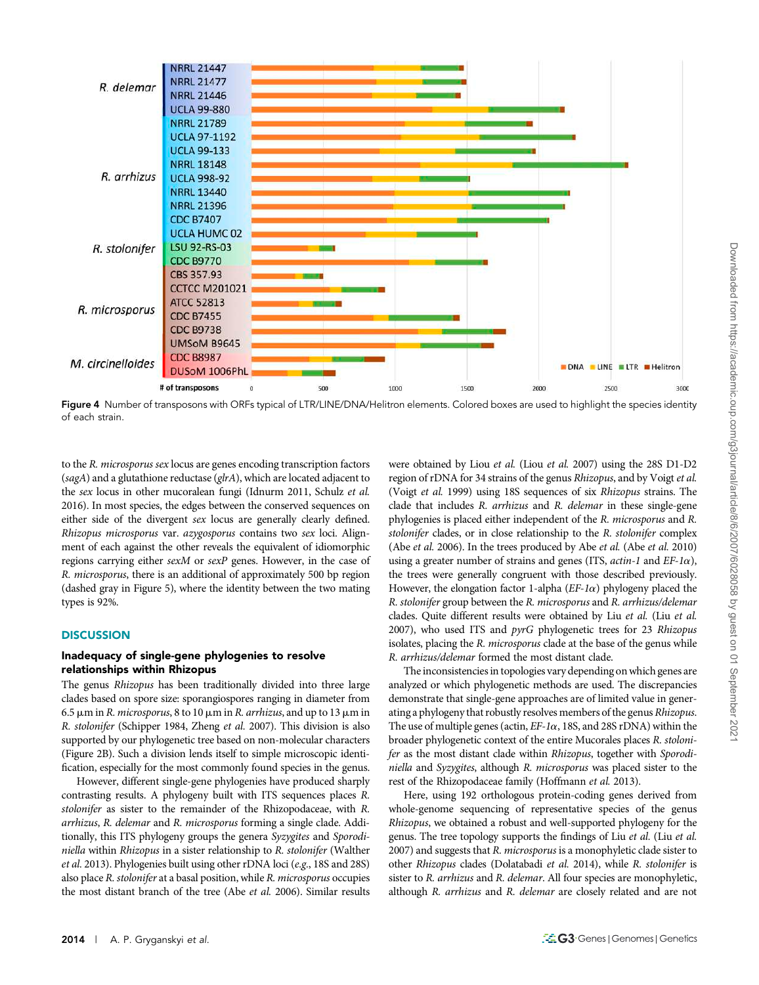

Figure 4 Number of transposons with ORFs typical of LTR/LINE/DNA/Helitron elements. Colored boxes are used to highlight the species identity of each strain.

to the R. microsporus sex locus are genes encoding transcription factors (sagA) and a glutathione reductase (glrA), which are located adjacent to the sex locus in other mucoralean fungi (Idnurm 2011, Schulz et al. 2016). In most species, the edges between the conserved sequences on either side of the divergent sex locus are generally clearly defined. Rhizopus microsporus var. azygosporus contains two sex loci. Alignment of each against the other reveals the equivalent of idiomorphic regions carrying either sexM or sexP genes. However, in the case of R. microsporus, there is an additional of approximately 500 bp region (dashed gray in Figure 5), where the identity between the two mating types is 92%.

## **DISCUSSION**

## Inadequacy of single-gene phylogenies to resolve relationships within Rhizopus

The genus Rhizopus has been traditionally divided into three large clades based on spore size: sporangiospores ranging in diameter from 6.5  $\mu$ m in *R. microsporus*, 8 to 10  $\mu$ m in *R. arrhizus*, and up to 13  $\mu$ m in R. stolonifer (Schipper 1984, Zheng et al. 2007). This division is also supported by our phylogenetic tree based on non-molecular characters (Figure 2B). Such a division lends itself to simple microscopic identification, especially for the most commonly found species in the genus.

However, different single-gene phylogenies have produced sharply contrasting results. A phylogeny built with ITS sequences places R. stolonifer as sister to the remainder of the Rhizopodaceae, with R. arrhizus, R. delemar and R. microsporus forming a single clade. Additionally, this ITS phylogeny groups the genera Syzygites and Sporodiniella within Rhizopus in a sister relationship to R. stolonifer (Walther et al. 2013). Phylogenies built using other rDNA loci (e.g., 18S and 28S) also place R. stolonifer at a basal position, while R. microsporus occupies the most distant branch of the tree (Abe et al. 2006). Similar results

were obtained by Liou et al. (Liou et al. 2007) using the 28S D1-D2 region of rDNA for 34 strains of the genus Rhizopus, and by Voigt et al. (Voigt et al. 1999) using 18S sequences of six Rhizopus strains. The clade that includes R. arrhizus and R. delemar in these single-gene phylogenies is placed either independent of the R. microsporus and R. stolonifer clades, or in close relationship to the R. stolonifer complex (Abe et al. 2006). In the trees produced by Abe et al. (Abe et al. 2010) using a greater number of strains and genes (ITS,  $actin-1$  and  $EF-1\alpha$ ), the trees were generally congruent with those described previously. However, the elongation factor 1-alpha ( $EF$ -1 $\alpha$ ) phylogeny placed the R. stolonifer group between the R. microsporus and R. arrhizus/delemar clades. Quite different results were obtained by Liu et al. (Liu et al. 2007), who used ITS and pyrG phylogenetic trees for 23 Rhizopus isolates, placing the R. microsporus clade at the base of the genus while R. arrhizus/delemar formed the most distant clade.

The inconsistencies in topologies vary depending on which genes are analyzed or which phylogenetic methods are used. The discrepancies demonstrate that single-gene approaches are of limited value in generating a phylogeny that robustly resolves members of the genus Rhizopus. The use of multiple genes (actin,  $EF$ -1 $\alpha$ , 18S, and 28S rDNA) within the broader phylogenetic context of the entire Mucorales places R. stolonifer as the most distant clade within Rhizopus, together with Sporodiniella and Syzygites, although R. microsporus was placed sister to the rest of the Rhizopodaceae family (Hoffmann et al. 2013).

Here, using 192 orthologous protein-coding genes derived from whole-genome sequencing of representative species of the genus Rhizopus, we obtained a robust and well-supported phylogeny for the genus. The tree topology supports the findings of Liu et al. (Liu et al. 2007) and suggests that R. microsporus is a monophyletic clade sister to other Rhizopus clades (Dolatabadi et al. 2014), while R. stolonifer is sister to R. arrhizus and R. delemar. All four species are monophyletic, although R. arrhizus and R. delemar are closely related and are not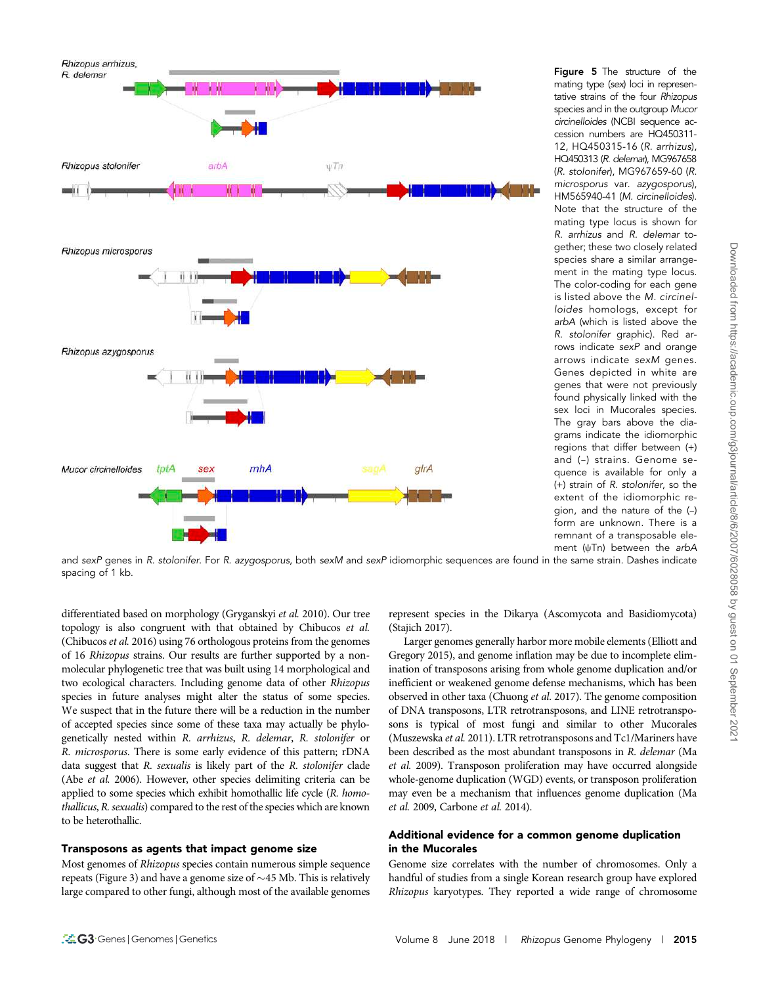

Figure 5 The structure of the mating type (sex) loci in representative strains of the four Rhizopus species and in the outgroup Mucor circinelloides (NCBI sequence accession numbers are HQ450311- 12, HQ450315-16 (R. arrhizus), HQ450313 (R. delemar), MG967658 (R. stolonifer), MG967659-60 (R. microsporus var. azygosporus), HM565940-41 (M. circinelloides). Note that the structure of the mating type locus is shown for R. arrhizus and R. delemar together; these two closely related species share a similar arrangement in the mating type locus. The color-coding for each gene is listed above the M. circinelloides homologs, except for arbA (which is listed above the R. stolonifer graphic). Red arrows indicate sexP and orange arrows indicate sexM genes. Genes depicted in white are genes that were not previously found physically linked with the sex loci in Mucorales species. The gray bars above the diagrams indicate the idiomorphic regions that differ between (+) and (–) strains. Genome sequence is available for only a (+) strain of R. stolonifer, so the extent of the idiomorphic region, and the nature of the (–) form are unknown. There is a remnant of a transposable element ( $\psi$ Tn) between the arbA

and sexP genes in R. stolonifer. For R. azygosporus, both sexM and sexP idiomorphic sequences are found in the same strain. Dashes indicate spacing of 1 kb.

differentiated based on morphology (Gryganskyi et al. 2010). Our tree topology is also congruent with that obtained by Chibucos et al. (Chibucos et al. 2016) using 76 orthologous proteins from the genomes of 16 Rhizopus strains. Our results are further supported by a nonmolecular phylogenetic tree that was built using 14 morphological and two ecological characters. Including genome data of other Rhizopus species in future analyses might alter the status of some species. We suspect that in the future there will be a reduction in the number of accepted species since some of these taxa may actually be phylogenetically nested within R. arrhizus, R. delemar, R. stolonifer or R. microsporus. There is some early evidence of this pattern; rDNA data suggest that R. sexualis is likely part of the R. stolonifer clade (Abe et al. 2006). However, other species delimiting criteria can be applied to some species which exhibit homothallic life cycle (R. homothallicus, R. sexualis) compared to the rest of the species which are known to be heterothallic.

# Transposons as agents that impact genome size

Most genomes of Rhizopus species contain numerous simple sequence repeats (Figure 3) and have a genome size of  $\sim$ 45 Mb. This is relatively large compared to other fungi, although most of the available genomes represent species in the Dikarya (Ascomycota and Basidiomycota) (Stajich 2017).

Larger genomes generally harbor more mobile elements (Elliott and Gregory 2015), and genome inflation may be due to incomplete elimination of transposons arising from whole genome duplication and/or inefficient or weakened genome defense mechanisms, which has been observed in other taxa (Chuong et al. 2017). The genome composition of DNA transposons, LTR retrotransposons, and LINE retrotransposons is typical of most fungi and similar to other Mucorales (Muszewska et al. 2011). LTR retrotransposons and Tc1/Mariners have been described as the most abundant transposons in R. delemar (Ma et al. 2009). Transposon proliferation may have occurred alongside whole-genome duplication (WGD) events, or transposon proliferation may even be a mechanism that influences genome duplication (Ma et al. 2009, Carbone et al. 2014).

# Additional evidence for a common genome duplication in the Mucorales

Genome size correlates with the number of chromosomes. Only a handful of studies from a single Korean research group have explored Rhizopus karyotypes. They reported a wide range of chromosome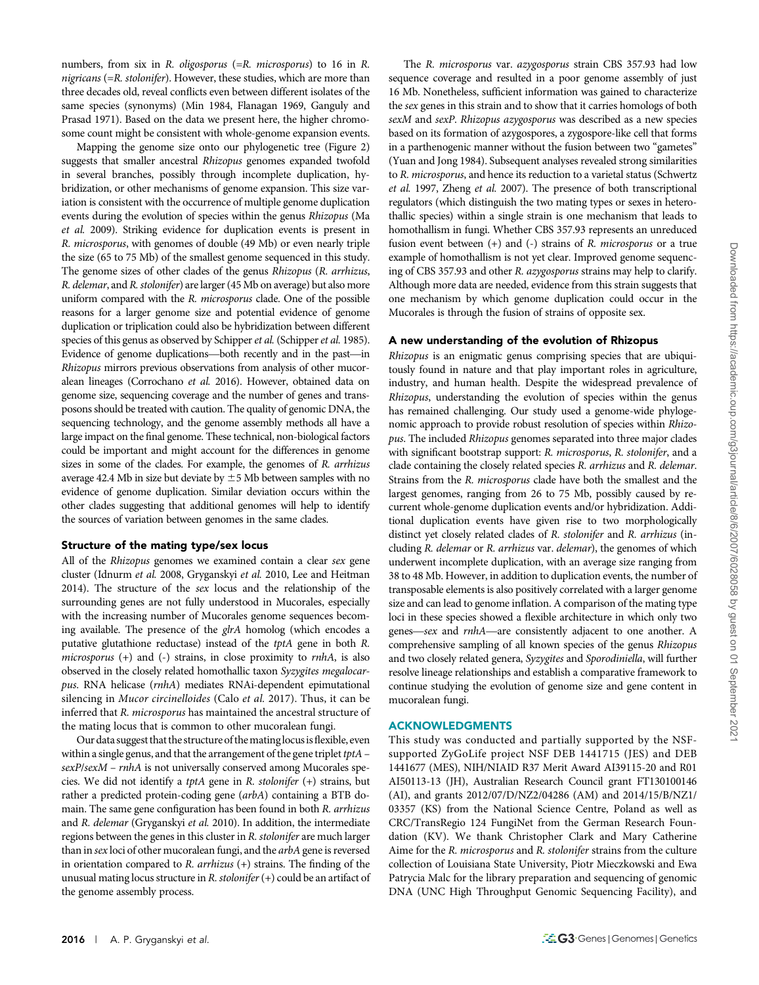numbers, from six in R. oligosporus (=R. microsporus) to 16 in R. nigricans (=R. stolonifer). However, these studies, which are more than three decades old, reveal conflicts even between different isolates of the same species (synonyms) (Min 1984, Flanagan 1969, Ganguly and Prasad 1971). Based on the data we present here, the higher chromosome count might be consistent with whole-genome expansion events.

Mapping the genome size onto our phylogenetic tree (Figure 2) suggests that smaller ancestral Rhizopus genomes expanded twofold in several branches, possibly through incomplete duplication, hybridization, or other mechanisms of genome expansion. This size variation is consistent with the occurrence of multiple genome duplication events during the evolution of species within the genus Rhizopus (Ma et al. 2009). Striking evidence for duplication events is present in R. microsporus, with genomes of double (49 Mb) or even nearly triple the size (65 to 75 Mb) of the smallest genome sequenced in this study. The genome sizes of other clades of the genus Rhizopus (R. arrhizus, R. delemar, and R. stolonifer) are larger (45 Mb on average) but also more uniform compared with the R. microsporus clade. One of the possible reasons for a larger genome size and potential evidence of genome duplication or triplication could also be hybridization between different species of this genus as observed by Schipper et al. (Schipper et al. 1985). Evidence of genome duplications—both recently and in the past—in Rhizopus mirrors previous observations from analysis of other mucoralean lineages (Corrochano et al. 2016). However, obtained data on genome size, sequencing coverage and the number of genes and transposons should be treated with caution. The quality of genomic DNA, the sequencing technology, and the genome assembly methods all have a large impact on the final genome. These technical, non-biological factors could be important and might account for the differences in genome sizes in some of the clades. For example, the genomes of R. arrhizus average 42.4 Mb in size but deviate by  $\pm 5$  Mb between samples with no evidence of genome duplication. Similar deviation occurs within the other clades suggesting that additional genomes will help to identify the sources of variation between genomes in the same clades.

#### Structure of the mating type/sex locus

All of the Rhizopus genomes we examined contain a clear sex gene cluster (Idnurm et al. 2008, Gryganskyi et al. 2010, Lee and Heitman 2014). The structure of the sex locus and the relationship of the surrounding genes are not fully understood in Mucorales, especially with the increasing number of Mucorales genome sequences becoming available. The presence of the glrA homolog (which encodes a putative glutathione reductase) instead of the tptA gene in both R. microsporus  $(+)$  and  $(-)$  strains, in close proximity to *rnhA*, is also observed in the closely related homothallic taxon Syzygites megalocarpus. RNA helicase (rnhA) mediates RNAi-dependent epimutational silencing in Mucor circinelloides (Calo et al. 2017). Thus, it can be inferred that R. microsporus has maintained the ancestral structure of the mating locus that is common to other mucoralean fungi.

Our data suggest that the structure of thematinglocusisflexible, even within a single genus, and that the arrangement of the gene triplet  $tptA$  – sexP/sexM – rnhA is not universally conserved among Mucorales species. We did not identify a tptA gene in R. stolonifer (+) strains, but rather a predicted protein-coding gene (arbA) containing a BTB domain. The same gene configuration has been found in both R. arrhizus and R. delemar (Gryganskyi et al. 2010). In addition, the intermediate regions between the genes in this cluster in R. stolonifer are much larger than in sex loci of other mucoralean fungi, and the arbA gene is reversed in orientation compared to  $R$ .  $arrhizus$  (+) strains. The finding of the unusual mating locus structure in R. stolonifer  $(+)$  could be an artifact of the genome assembly process.

The R. microsporus var. azygosporus strain CBS 357.93 had low sequence coverage and resulted in a poor genome assembly of just 16 Mb. Nonetheless, sufficient information was gained to characterize the sex genes in this strain and to show that it carries homologs of both sexM and sexP. Rhizopus azygosporus was described as a new species based on its formation of azygospores, a zygospore-like cell that forms in a parthenogenic manner without the fusion between two "gametes" (Yuan and Jong 1984). Subsequent analyses revealed strong similarities to R. microsporus, and hence its reduction to a varietal status (Schwertz et al. 1997, Zheng et al. 2007). The presence of both transcriptional regulators (which distinguish the two mating types or sexes in heterothallic species) within a single strain is one mechanism that leads to homothallism in fungi. Whether CBS 357.93 represents an unreduced fusion event between  $(+)$  and  $(-)$  strains of R. microsporus or a true example of homothallism is not yet clear. Improved genome sequencing of CBS 357.93 and other R. azygosporus strains may help to clarify. Although more data are needed, evidence from this strain suggests that one mechanism by which genome duplication could occur in the Mucorales is through the fusion of strains of opposite sex.

#### A new understanding of the evolution of Rhizopus

Rhizopus is an enigmatic genus comprising species that are ubiquitously found in nature and that play important roles in agriculture, industry, and human health. Despite the widespread prevalence of Rhizopus, understanding the evolution of species within the genus has remained challenging. Our study used a genome-wide phylogenomic approach to provide robust resolution of species within Rhizopus. The included Rhizopus genomes separated into three major clades with significant bootstrap support: R. microsporus, R. stolonifer, and a clade containing the closely related species R. arrhizus and R. delemar. Strains from the R. microsporus clade have both the smallest and the largest genomes, ranging from 26 to 75 Mb, possibly caused by recurrent whole-genome duplication events and/or hybridization. Additional duplication events have given rise to two morphologically distinct yet closely related clades of R. stolonifer and R. arrhizus (including R. delemar or R. arrhizus var. delemar), the genomes of which underwent incomplete duplication, with an average size ranging from 38 to 48 Mb. However, in addition to duplication events, the number of transposable elements is also positively correlated with a larger genome size and can lead to genome inflation. A comparison of the mating type loci in these species showed a flexible architecture in which only two genes—sex and rnhA—are consistently adjacent to one another. A comprehensive sampling of all known species of the genus Rhizopus and two closely related genera, Syzygites and Sporodiniella, will further resolve lineage relationships and establish a comparative framework to continue studying the evolution of genome size and gene content in mucoralean fungi.

## ACKNOWLEDGMENTS

This study was conducted and partially supported by the NSFsupported ZyGoLife project NSF DEB 1441715 (JES) and DEB 1441677 (MES), NIH/NIAID R37 Merit Award AI39115-20 and R01 AI50113-13 (JH), Australian Research Council grant FT130100146 (AI), and grants 2012/07/D/NZ2/04286 (AM) and 2014/15/B/NZ1/ 03357 (KS) from the National Science Centre, Poland as well as CRC/TransRegio 124 FungiNet from the German Research Foundation (KV). We thank Christopher Clark and Mary Catherine Aime for the R. microsporus and R. stolonifer strains from the culture collection of Louisiana State University, Piotr Mieczkowski and Ewa Patrycia Malc for the library preparation and sequencing of genomic DNA (UNC High Throughput Genomic Sequencing Facility), and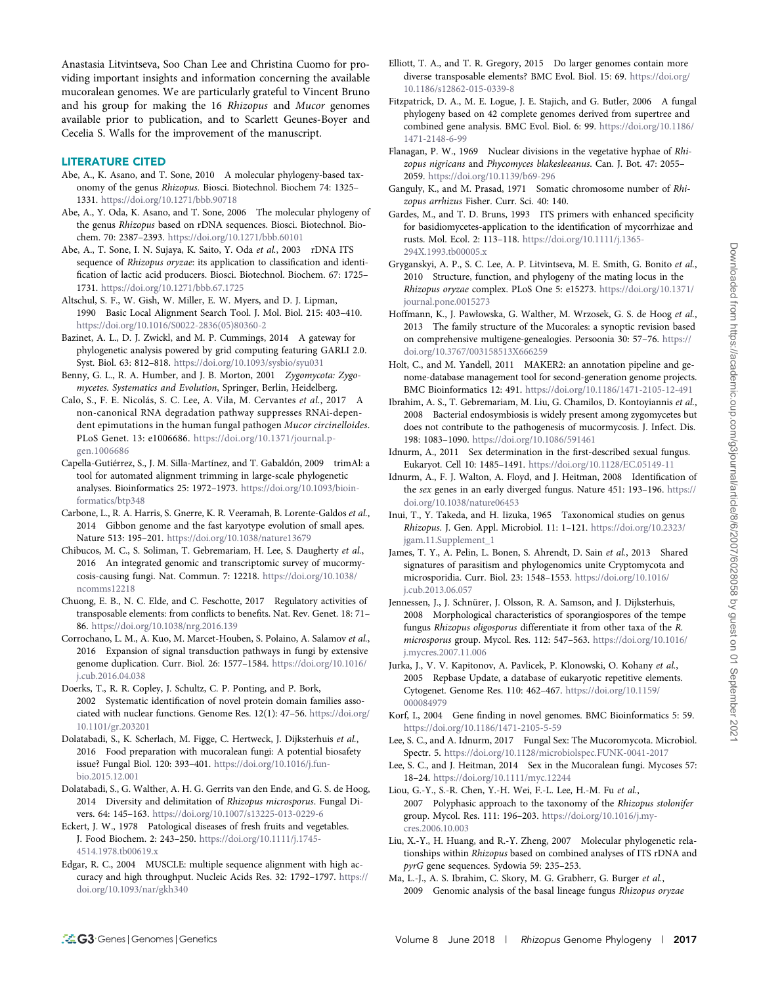Anastasia Litvintseva, Soo Chan Lee and Christina Cuomo for providing important insights and information concerning the available mucoralean genomes. We are particularly grateful to Vincent Bruno and his group for making the 16 Rhizopus and Mucor genomes available prior to publication, and to Scarlett Geunes-Boyer and Cecelia S. Walls for the improvement of the manuscript.

#### LITERATURE CITED

- Abe, A., K. Asano, and T. Sone, 2010 A molecular phylogeny-based taxonomy of the genus Rhizopus. Biosci. Biotechnol. Biochem 74: 1325– 1331. <https://doi.org/10.1271/bbb.90718>
- Abe, A., Y. Oda, K. Asano, and T. Sone, 2006 The molecular phylogeny of the genus Rhizopus based on rDNA sequences. Biosci. Biotechnol. Biochem. 70: 2387–2393. <https://doi.org/10.1271/bbb.60101>
- Abe, A., T. Sone, I. N. Sujaya, K. Saito, Y. Oda et al., 2003 rDNA ITS sequence of Rhizopus oryzae: its application to classification and identification of lactic acid producers. Biosci. Biotechnol. Biochem. 67: 1725– 1731. <https://doi.org/10.1271/bbb.67.1725>
- Altschul, S. F., W. Gish, W. Miller, E. W. Myers, and D. J. Lipman, 1990 Basic Local Alignment Search Tool. J. Mol. Biol. 215: 403–410. [https://doi.org/10.1016/S0022-2836\(05\)80360-2](https://doi.org/10.1016/S0022-2836(05)80360-2)
- Bazinet, A. L., D. J. Zwickl, and M. P. Cummings, 2014 A gateway for phylogenetic analysis powered by grid computing featuring GARLI 2.0. Syst. Biol. 63: 812–818. <https://doi.org/10.1093/sysbio/syu031>
- Benny, G. L., R. A. Humber, and J. B. Morton, 2001 Zygomycota: Zygomycetes. Systematics and Evolution, Springer, Berlin, Heidelberg.
- Calo, S., F. E. Nicolás, S. C. Lee, A. Vila, M. Cervantes et al., 2017 A non-canonical RNA degradation pathway suppresses RNAi-dependent epimutations in the human fungal pathogen Mucor circinelloides. PLoS Genet. 13: e1006686. [https://doi.org/10.1371/journal.p](https://doi.org/10.1371/journal.pgen.1006686)[gen.1006686](https://doi.org/10.1371/journal.pgen.1006686)
- Capella-Gutiérrez, S., J. M. Silla-Martínez, and T. Gabaldón, 2009 trimAl: a tool for automated alignment trimming in large-scale phylogenetic analyses. Bioinformatics 25: 1972–1973. [https://doi.org/10.1093/bioin](https://doi.org/10.1093/bioinformatics/btp348)[formatics/btp348](https://doi.org/10.1093/bioinformatics/btp348)
- Carbone, L., R. A. Harris, S. Gnerre, K. R. Veeramah, B. Lorente-Galdos et al., 2014 Gibbon genome and the fast karyotype evolution of small apes. Nature 513: 195–201. <https://doi.org/10.1038/nature13679>
- Chibucos, M. C., S. Soliman, T. Gebremariam, H. Lee, S. Daugherty et al., 2016 An integrated genomic and transcriptomic survey of mucormycosis-causing fungi. Nat. Commun. 7: 12218. [https://doi.org/10.1038/](https://doi.org/10.1038/ncomms12218) [ncomms12218](https://doi.org/10.1038/ncomms12218)
- Chuong, E. B., N. C. Elde, and C. Feschotte, 2017 Regulatory activities of transposable elements: from conflicts to benefits. Nat. Rev. Genet. 18: 71– 86. <https://doi.org/10.1038/nrg.2016.139>
- Corrochano, L. M., A. Kuo, M. Marcet-Houben, S. Polaino, A. Salamov et al., 2016 Expansion of signal transduction pathways in fungi by extensive genome duplication. Curr. Biol. 26: 1577–1584. [https://doi.org/10.1016/](https://doi.org/10.1016/j.cub.2016.04.038) [j.cub.2016.04.038](https://doi.org/10.1016/j.cub.2016.04.038)
- Doerks, T., R. R. Copley, J. Schultz, C. P. Ponting, and P. Bork, 2002 Systematic identification of novel protein domain families associated with nuclear functions. Genome Res. 12(1): 47–56. [https://doi.org/](https://doi.org/10.1101/gr.203201) [10.1101/gr.203201](https://doi.org/10.1101/gr.203201)
- Dolatabadi, S., K. Scherlach, M. Figge, C. Hertweck, J. Dijksterhuis et al., 2016 Food preparation with mucoralean fungi: A potential biosafety issue? Fungal Biol. 120: 393–401. [https://doi.org/10.1016/j.fun](https://doi.org/10.1016/j.funbio.2015.12.001)[bio.2015.12.001](https://doi.org/10.1016/j.funbio.2015.12.001)
- Dolatabadi, S., G. Walther, A. H. G. Gerrits van den Ende, and G. S. de Hoog, 2014 Diversity and delimitation of Rhizopus microsporus. Fungal Divers. 64: 145–163. <https://doi.org/10.1007/s13225-013-0229-6>
- Eckert, J. W., 1978 Patological diseases of fresh fruits and vegetables. J. Food Biochem. 2: 243–250. [https://doi.org/10.1111/j.1745-](https://doi.org/10.1111/j.1745-4514.1978.tb00619.x) [4514.1978.tb00619.x](https://doi.org/10.1111/j.1745-4514.1978.tb00619.x)
- Edgar, R. C., 2004 MUSCLE: multiple sequence alignment with high accuracy and high throughput. Nucleic Acids Res. 32: 1792–1797. [https://](https://doi.org/10.1093/nar/gkh340) [doi.org/10.1093/nar/gkh340](https://doi.org/10.1093/nar/gkh340)
- Elliott, T. A., and T. R. Gregory, 2015 Do larger genomes contain more diverse transposable elements? BMC Evol. Biol. 15: 69. [https://doi.org/](https://doi.org/10.1186/s12862-015-0339-8) [10.1186/s12862-015-0339-8](https://doi.org/10.1186/s12862-015-0339-8)
- Fitzpatrick, D. A., M. E. Logue, J. E. Stajich, and G. Butler, 2006 A fungal phylogeny based on 42 complete genomes derived from supertree and combined gene analysis. BMC Evol. Biol. 6: 99. [https://doi.org/10.1186/](https://doi.org/10.1186/1471-2148-6-99) [1471-2148-6-99](https://doi.org/10.1186/1471-2148-6-99)
- Flanagan, P. W., 1969 Nuclear divisions in the vegetative hyphae of Rhizopus nigricans and Phycomyces blakesleeanus. Can. J. Bot. 47: 2055– 2059. <https://doi.org/10.1139/b69-296>
- Ganguly, K., and M. Prasad, 1971 Somatic chromosome number of Rhizopus arrhizus Fisher. Curr. Sci. 40: 140.
- Gardes, M., and T. D. Bruns, 1993 ITS primers with enhanced specificity for basidiomycetes-application to the identification of mycorrhizae and rusts. Mol. Ecol. 2: 113–118. [https://doi.org/10.1111/j.1365-](https://doi.org/10.1111/j.1365-294X.1993.tb00005.x) [294X.1993.tb00005.x](https://doi.org/10.1111/j.1365-294X.1993.tb00005.x)
- Gryganskyi, A. P., S. C. Lee, A. P. Litvintseva, M. E. Smith, G. Bonito et al., 2010 Structure, function, and phylogeny of the mating locus in the Rhizopus oryzae complex. PLoS One 5: e15273. [https://doi.org/10.1371/](https://doi.org/10.1371/journal.pone.0015273) [journal.pone.0015273](https://doi.org/10.1371/journal.pone.0015273)
- Hoffmann, K., J. Pawłowska, G. Walther, M. Wrzosek, G. S. de Hoog et al., 2013 The family structure of the Mucorales: a synoptic revision based on comprehensive multigene-genealogies. Persoonia 30: 57–76. [https://](https://doi.org/10.3767/003158513X666259) [doi.org/10.3767/003158513X666259](https://doi.org/10.3767/003158513X666259)
- Holt, C., and M. Yandell, 2011 MAKER2: an annotation pipeline and genome-database management tool for second-generation genome projects. BMC Bioinformatics 12: 491. <https://doi.org/10.1186/1471-2105-12-491>
- Ibrahim, A. S., T. Gebremariam, M. Liu, G. Chamilos, D. Kontoyiannis et al., 2008 Bacterial endosymbiosis is widely present among zygomycetes but does not contribute to the pathogenesis of mucormycosis. J. Infect. Dis. 198: 1083–1090. <https://doi.org/10.1086/591461>
- Idnurm, A., 2011 Sex determination in the first-described sexual fungus. Eukaryot. Cell 10: 1485–1491. <https://doi.org/10.1128/EC.05149-11>
- Idnurm, A., F. J. Walton, A. Floyd, and J. Heitman, 2008 Identification of the sex genes in an early diverged fungus. Nature 451: 193–196. [https://](https://doi.org/10.1038/nature06453) [doi.org/10.1038/nature06453](https://doi.org/10.1038/nature06453)
- Inui, T., Y. Takeda, and H. Iizuka, 1965 Taxonomical studies on genus Rhizopus. J. Gen. Appl. Microbiol. 11: 1–121. [https://doi.org/10.2323/](https://doi.org/10.2323/jgam.11.Supplement_1) [jgam.11.Supplement\\_1](https://doi.org/10.2323/jgam.11.Supplement_1)
- James, T. Y., A. Pelin, L. Bonen, S. Ahrendt, D. Sain et al., 2013 Shared signatures of parasitism and phylogenomics unite Cryptomycota and microsporidia. Curr. Biol. 23: 1548–1553. [https://doi.org/10.1016/](https://doi.org/10.1016/j.cub.2013.06.057) [j.cub.2013.06.057](https://doi.org/10.1016/j.cub.2013.06.057)
- Jennessen, J., J. Schnürer, J. Olsson, R. A. Samson, and J. Dijksterhuis, 2008 Morphological characteristics of sporangiospores of the tempe fungus Rhizopus oligosporus differentiate it from other taxa of the R. microsporus group. Mycol. Res. 112: 547–563. [https://doi.org/10.1016/](https://doi.org/10.1016/j.mycres.2007.11.006) [j.mycres.2007.11.006](https://doi.org/10.1016/j.mycres.2007.11.006)
- Jurka, J., V. V. Kapitonov, A. Pavlicek, P. Klonowski, O. Kohany et al., 2005 Repbase Update, a database of eukaryotic repetitive elements. Cytogenet. Genome Res. 110: 462–467. [https://doi.org/10.1159/](https://doi.org/10.1159/000084979) [000084979](https://doi.org/10.1159/000084979)
- Korf, I., 2004 Gene finding in novel genomes. BMC Bioinformatics 5: 59. <https://doi.org/10.1186/1471-2105-5-59>
- Lee, S. C., and A. Idnurm, 2017 Fungal Sex: The Mucoromycota. Microbiol. Spectr. 5. <https://doi.org/10.1128/microbiolspec.FUNK-0041-2017>
- Lee, S. C., and J. Heitman, 2014 Sex in the Mucoralean fungi. Mycoses 57: 18–24. <https://doi.org/10.1111/myc.12244>
- Liou, G.-Y., S.-R. Chen, Y.-H. Wei, F.-L. Lee, H.-M. Fu et al., 2007 Polyphasic approach to the taxonomy of the Rhizopus stolonifer group. Mycol. Res. 111: 196–203. [https://doi.org/10.1016/j.my](https://doi.org/10.1016/j.mycres.2006.10.003)[cres.2006.10.003](https://doi.org/10.1016/j.mycres.2006.10.003)
- Liu, X.-Y., H. Huang, and R.-Y. Zheng, 2007 Molecular phylogenetic relationships within Rhizopus based on combined analyses of ITS rDNA and pyrG gene sequences. Sydowia 59: 235–253.
- Ma, L.-J., A. S. Ibrahim, C. Skory, M. G. Grabherr, G. Burger et al., 2009 Genomic analysis of the basal lineage fungus Rhizopus oryzae